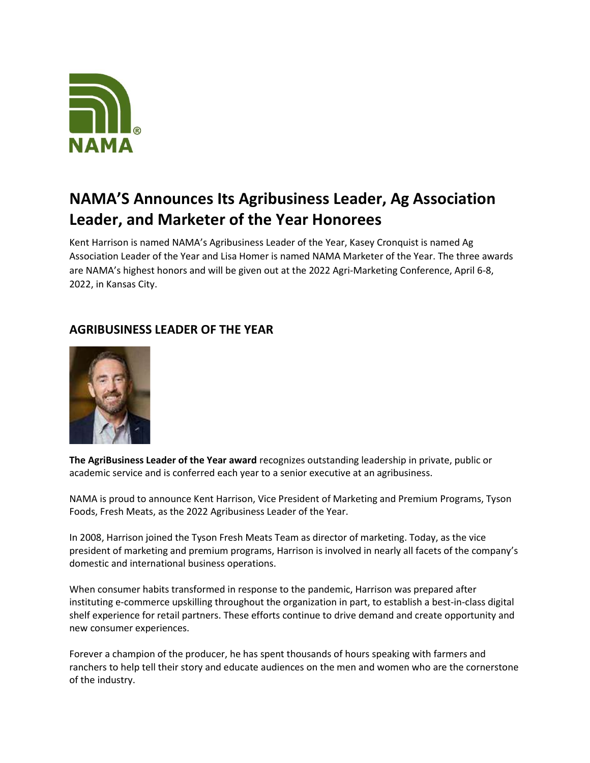

## NAMA'S Announces Its Agribusiness Leader, Ag Association Leader, and Marketer of the Year Honorees

Kent Harrison is named NAMA's Agribusiness Leader of the Year, Kasey Cronquist is named Ag Association Leader of the Year and Lisa Homer is named NAMA Marketer of the Year. The three awards are NAMA's highest honors and will be given out at the 2022 Agri-Marketing Conference, April 6-8, 2022, in Kansas City.

## AGRIBUSINESS LEADER OF THE YEAR



The AgriBusiness Leader of the Year award recognizes outstanding leadership in private, public or academic service and is conferred each year to a senior executive at an agribusiness.

NAMA is proud to announce Kent Harrison, Vice President of Marketing and Premium Programs, Tyson Foods, Fresh Meats, as the 2022 Agribusiness Leader of the Year.

In 2008, Harrison joined the Tyson Fresh Meats Team as director of marketing. Today, as the vice president of marketing and premium programs, Harrison is involved in nearly all facets of the company's domestic and international business operations.

When consumer habits transformed in response to the pandemic, Harrison was prepared after instituting e-commerce upskilling throughout the organization in part, to establish a best-in-class digital shelf experience for retail partners. These efforts continue to drive demand and create opportunity and new consumer experiences.

Forever a champion of the producer, he has spent thousands of hours speaking with farmers and ranchers to help tell their story and educate audiences on the men and women who are the cornerstone of the industry.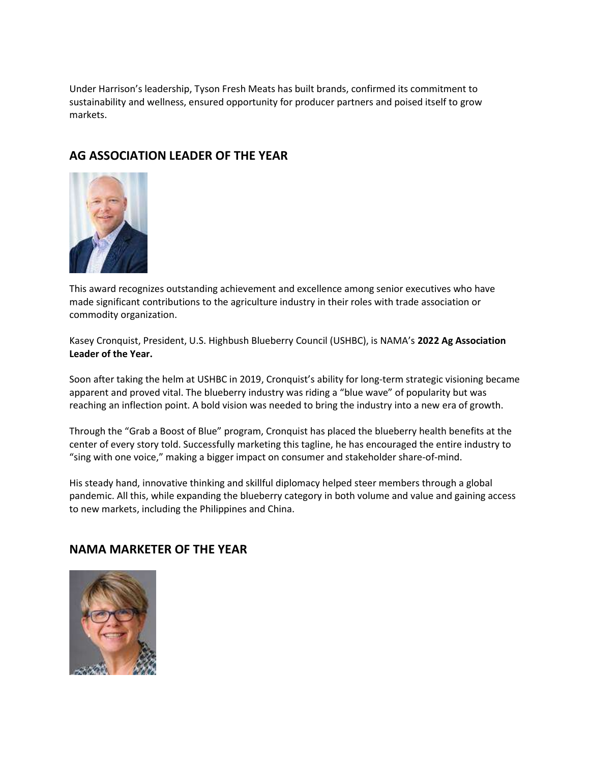Under Harrison's leadership, Tyson Fresh Meats has built brands, confirmed its commitment to sustainability and wellness, ensured opportunity for producer partners and poised itself to grow markets.

## AG ASSOCIATION LEADER OF THE YEAR



This award recognizes outstanding achievement and excellence among senior executives who have made significant contributions to the agriculture industry in their roles with trade association or commodity organization.

Kasey Cronquist, President, U.S. Highbush Blueberry Council (USHBC), is NAMA's 2022 Ag Association Leader of the Year.

Soon after taking the helm at USHBC in 2019, Cronquist's ability for long-term strategic visioning became apparent and proved vital. The blueberry industry was riding a "blue wave" of popularity but was reaching an inflection point. A bold vision was needed to bring the industry into a new era of growth.

Through the "Grab a Boost of Blue" program, Cronquist has placed the blueberry health benefits at the center of every story told. Successfully marketing this tagline, he has encouraged the entire industry to "sing with one voice," making a bigger impact on consumer and stakeholder share-of-mind.

His steady hand, innovative thinking and skillful diplomacy helped steer members through a global pandemic. All this, while expanding the blueberry category in both volume and value and gaining access to new markets, including the Philippines and China.

## NAMA MARKETER OF THE YEAR